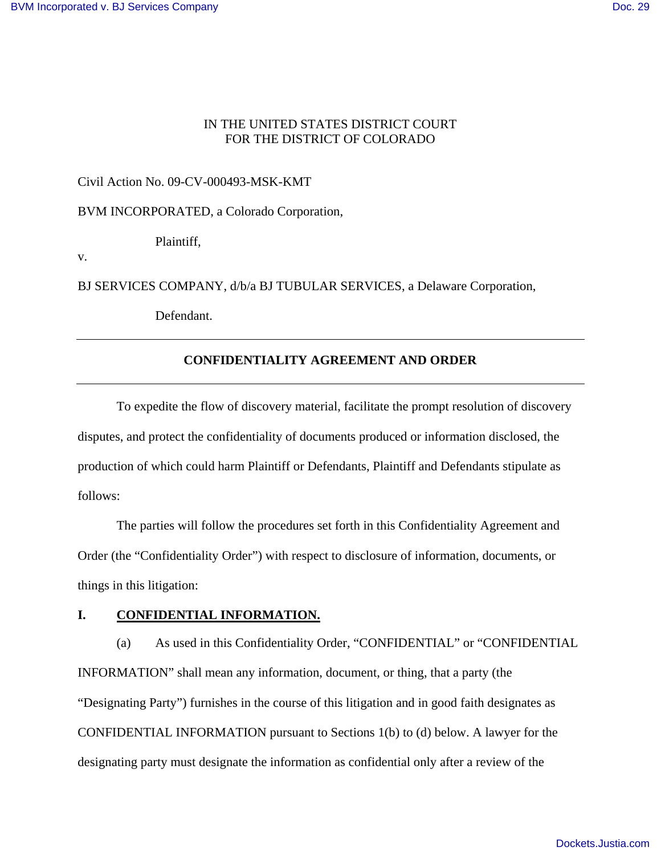### IN THE UNITED STATES DISTRICT COURT FOR THE DISTRICT OF COLORADO

Civil Action No. 09-CV-000493-MSK-KMT

BVM INCORPORATED, a Colorado Corporation,

Plaintiff,

v.

BJ SERVICES COMPANY, d/b/a BJ TUBULAR SERVICES, a Delaware Corporation,

Defendant.

### **CONFIDENTIALITY AGREEMENT AND ORDER**

To expedite the flow of discovery material, facilitate the prompt resolution of discovery disputes, and protect the confidentiality of documents produced or information disclosed, the production of which could harm Plaintiff or Defendants, Plaintiff and Defendants stipulate as follows:

The parties will follow the procedures set forth in this Confidentiality Agreement and Order (the "Confidentiality Order") with respect to disclosure of information, documents, or things in this litigation:

## **I. CONFIDENTIAL INFORMATION.**

(a) As used in this Confidentiality Order, "CONFIDENTIAL" or "CONFIDENTIAL INFORMATION" shall mean any information, document, or thing, that a party (the "Designating Party") furnishes in the course of this litigation and in good faith designates as CONFIDENTIAL INFORMATION pursuant to Sections 1(b) to (d) below. A lawyer for the designating party must designate the information as confidential only after a review of the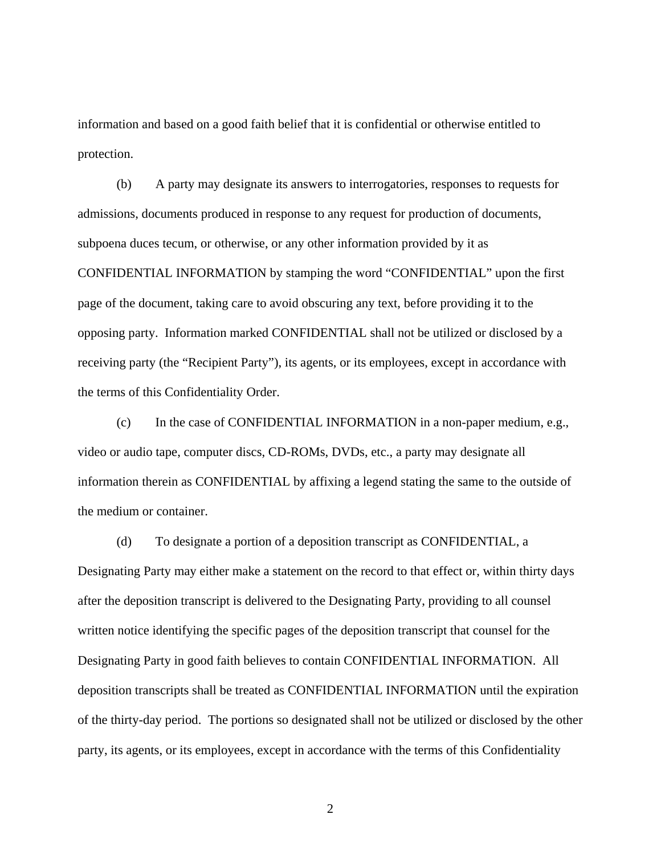information and based on a good faith belief that it is confidential or otherwise entitled to protection.

(b) A party may designate its answers to interrogatories, responses to requests for admissions, documents produced in response to any request for production of documents, subpoena duces tecum, or otherwise, or any other information provided by it as CONFIDENTIAL INFORMATION by stamping the word "CONFIDENTIAL" upon the first page of the document, taking care to avoid obscuring any text, before providing it to the opposing party. Information marked CONFIDENTIAL shall not be utilized or disclosed by a receiving party (the "Recipient Party"), its agents, or its employees, except in accordance with the terms of this Confidentiality Order.

(c) In the case of CONFIDENTIAL INFORMATION in a non-paper medium, e.g., video or audio tape, computer discs, CD-ROMs, DVDs, etc., a party may designate all information therein as CONFIDENTIAL by affixing a legend stating the same to the outside of the medium or container.

(d) To designate a portion of a deposition transcript as CONFIDENTIAL, a Designating Party may either make a statement on the record to that effect or, within thirty days

after the deposition transcript is delivered to the Designating Party, providing to all counsel written notice identifying the specific pages of the deposition transcript that counsel for the Designating Party in good faith believes to contain CONFIDENTIAL INFORMATION. All deposition transcripts shall be treated as CONFIDENTIAL INFORMATION until the expiration of the thirty-day period. The portions so designated shall not be utilized or disclosed by the other party, its agents, or its employees, except in accordance with the terms of this Confidentiality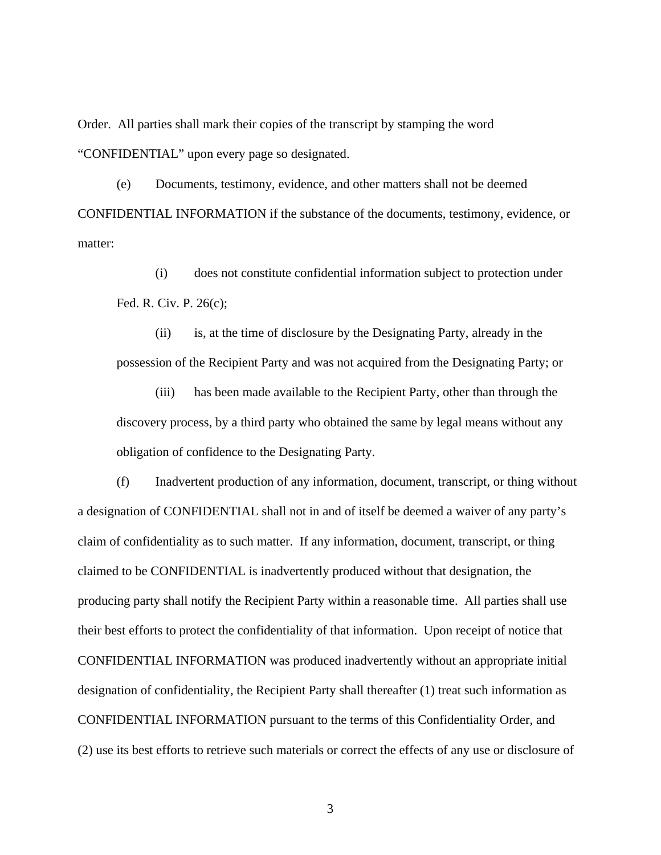Order. All parties shall mark their copies of the transcript by stamping the word "CONFIDENTIAL" upon every page so designated.

(e) Documents, testimony, evidence, and other matters shall not be deemed CONFIDENTIAL INFORMATION if the substance of the documents, testimony, evidence, or matter:

(i) does not constitute confidential information subject to protection under Fed. R. Civ. P. 26(c);

(ii) is, at the time of disclosure by the Designating Party, already in the possession of the Recipient Party and was not acquired from the Designating Party; or

(iii) has been made available to the Recipient Party, other than through the discovery process, by a third party who obtained the same by legal means without any obligation of confidence to the Designating Party.

(f) Inadvertent production of any information, document, transcript, or thing without a designation of CONFIDENTIAL shall not in and of itself be deemed a waiver of any party's claim of confidentiality as to such matter. If any information, document, transcript, or thing claimed to be CONFIDENTIAL is inadvertently produced without that designation, the producing party shall notify the Recipient Party within a reasonable time. All parties shall use their best efforts to protect the confidentiality of that information. Upon receipt of notice that CONFIDENTIAL INFORMATION was produced inadvertently without an appropriate initial designation of confidentiality, the Recipient Party shall thereafter (1) treat such information as CONFIDENTIAL INFORMATION pursuant to the terms of this Confidentiality Order, and (2) use its best efforts to retrieve such materials or correct the effects of any use or disclosure of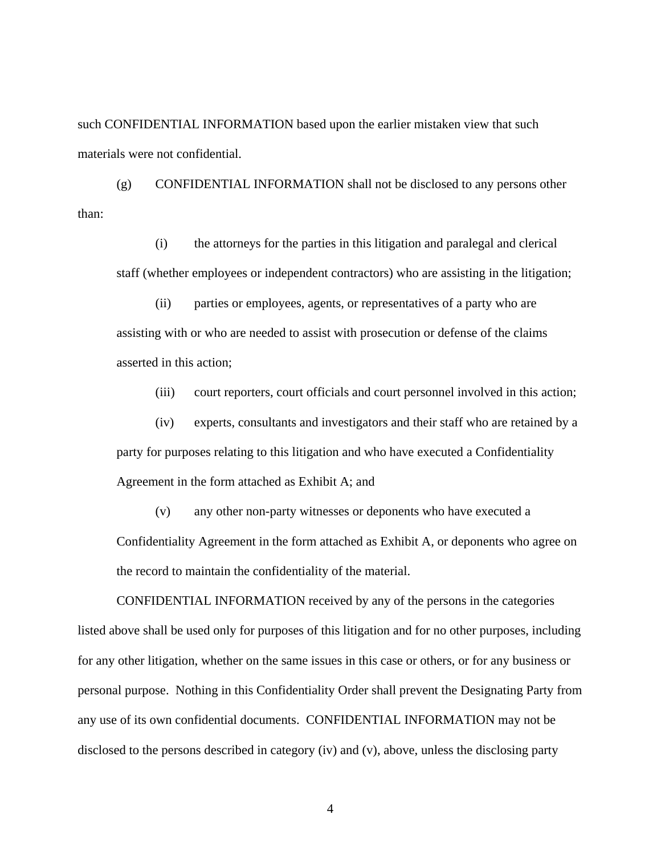such CONFIDENTIAL INFORMATION based upon the earlier mistaken view that such materials were not confidential.

(g) CONFIDENTIAL INFORMATION shall not be disclosed to any persons other than:

(i) the attorneys for the parties in this litigation and paralegal and clerical staff (whether employees or independent contractors) who are assisting in the litigation;

(ii) parties or employees, agents, or representatives of a party who are assisting with or who are needed to assist with prosecution or defense of the claims asserted in this action;

(iii) court reporters, court officials and court personnel involved in this action;

(iv) experts, consultants and investigators and their staff who are retained by a party for purposes relating to this litigation and who have executed a Confidentiality Agreement in the form attached as Exhibit A; and

(v) any other non-party witnesses or deponents who have executed a Confidentiality Agreement in the form attached as Exhibit A, or deponents who agree on the record to maintain the confidentiality of the material.

CONFIDENTIAL INFORMATION received by any of the persons in the categories listed above shall be used only for purposes of this litigation and for no other purposes, including for any other litigation, whether on the same issues in this case or others, or for any business or personal purpose. Nothing in this Confidentiality Order shall prevent the Designating Party from any use of its own confidential documents. CONFIDENTIAL INFORMATION may not be disclosed to the persons described in category (iv) and (v), above, unless the disclosing party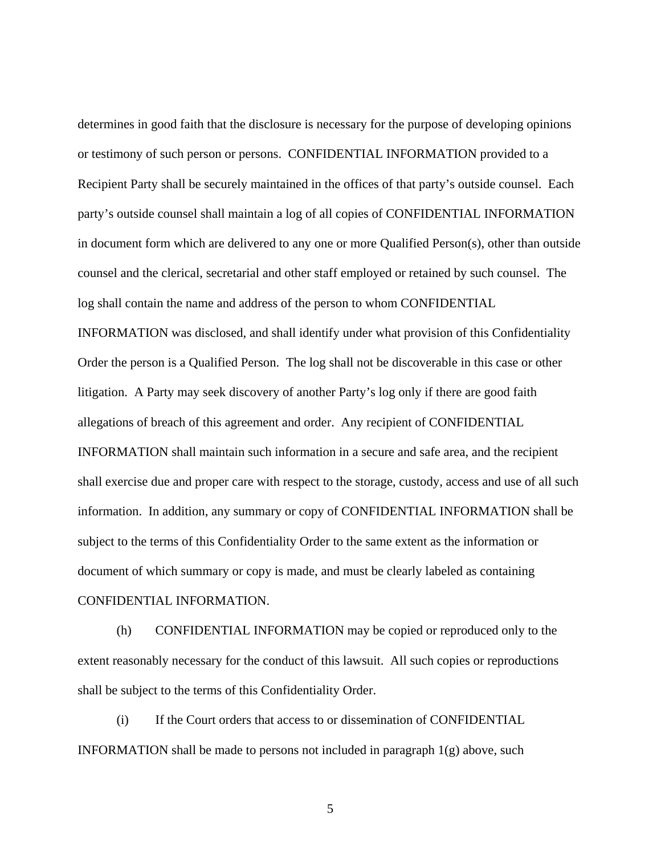determines in good faith that the disclosure is necessary for the purpose of developing opinions or testimony of such person or persons. CONFIDENTIAL INFORMATION provided to a Recipient Party shall be securely maintained in the offices of that party's outside counsel. Each party's outside counsel shall maintain a log of all copies of CONFIDENTIAL INFORMATION in document form which are delivered to any one or more Qualified Person(s), other than outside counsel and the clerical, secretarial and other staff employed or retained by such counsel. The log shall contain the name and address of the person to whom CONFIDENTIAL

INFORMATION was disclosed, and shall identify under what provision of this Confidentiality Order the person is a Qualified Person. The log shall not be discoverable in this case or other litigation. A Party may seek discovery of another Party's log only if there are good faith allegations of breach of this agreement and order. Any recipient of CONFIDENTIAL INFORMATION shall maintain such information in a secure and safe area, and the recipient shall exercise due and proper care with respect to the storage, custody, access and use of all such information. In addition, any summary or copy of CONFIDENTIAL INFORMATION shall be subject to the terms of this Confidentiality Order to the same extent as the information or document of which summary or copy is made, and must be clearly labeled as containing CONFIDENTIAL INFORMATION.

(h) CONFIDENTIAL INFORMATION may be copied or reproduced only to the extent reasonably necessary for the conduct of this lawsuit. All such copies or reproductions shall be subject to the terms of this Confidentiality Order.

(i) If the Court orders that access to or dissemination of CONFIDENTIAL INFORMATION shall be made to persons not included in paragraph  $1(g)$  above, such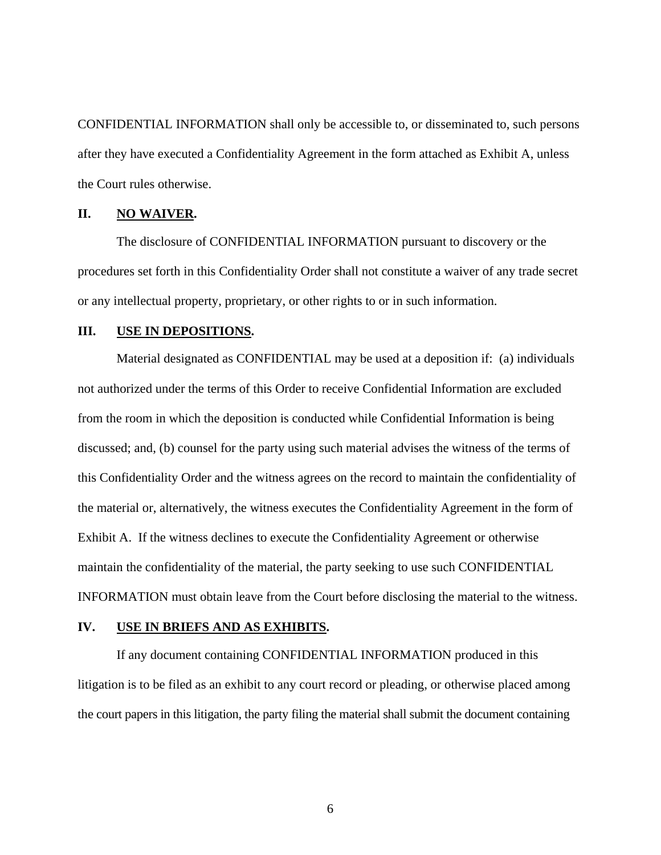CONFIDENTIAL INFORMATION shall only be accessible to, or disseminated to, such persons after they have executed a Confidentiality Agreement in the form attached as Exhibit A, unless the Court rules otherwise.

## **II. NO WAIVER.**

The disclosure of CONFIDENTIAL INFORMATION pursuant to discovery or the procedures set forth in this Confidentiality Order shall not constitute a waiver of any trade secret or any intellectual property, proprietary, or other rights to or in such information.

#### **III. USE IN DEPOSITIONS.**

Material designated as CONFIDENTIAL may be used at a deposition if: (a) individuals not authorized under the terms of this Order to receive Confidential Information are excluded from the room in which the deposition is conducted while Confidential Information is being discussed; and, (b) counsel for the party using such material advises the witness of the terms of this Confidentiality Order and the witness agrees on the record to maintain the confidentiality of the material or, alternatively, the witness executes the Confidentiality Agreement in the form of Exhibit A. If the witness declines to execute the Confidentiality Agreement or otherwise maintain the confidentiality of the material, the party seeking to use such CONFIDENTIAL INFORMATION must obtain leave from the Court before disclosing the material to the witness.

### **IV. USE IN BRIEFS AND AS EXHIBITS.**

If any document containing CONFIDENTIAL INFORMATION produced in this litigation is to be filed as an exhibit to any court record or pleading, or otherwise placed among the court papers in this litigation, the party filing the material shall submit the document containing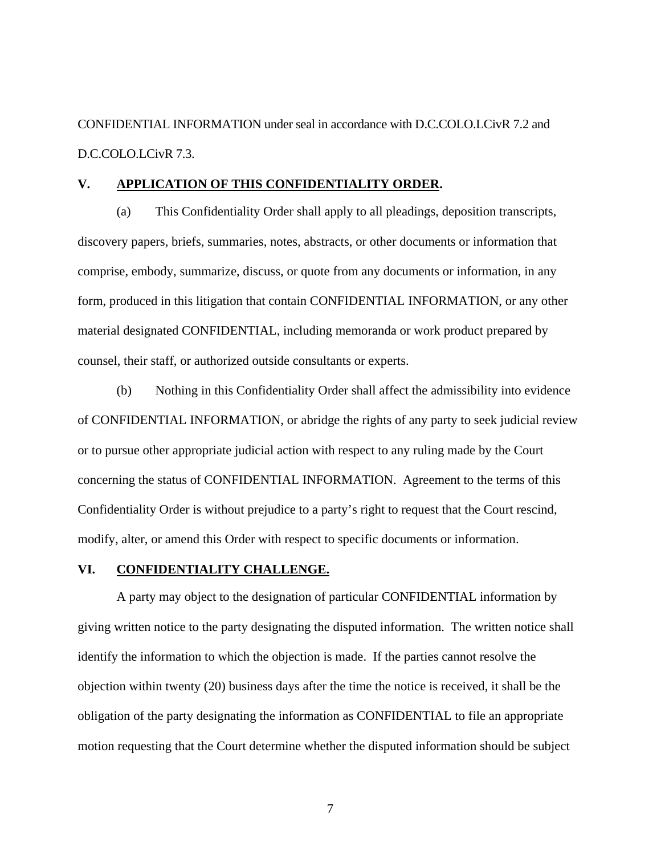CONFIDENTIAL INFORMATION under seal in accordance with D.C.COLO.LCivR 7.2 and D.C.COLO.LCivR 7.3.

#### **V. APPLICATION OF THIS CONFIDENTIALITY ORDER.**

(a) This Confidentiality Order shall apply to all pleadings, deposition transcripts, discovery papers, briefs, summaries, notes, abstracts, or other documents or information that comprise, embody, summarize, discuss, or quote from any documents or information, in any form, produced in this litigation that contain CONFIDENTIAL INFORMATION, or any other material designated CONFIDENTIAL, including memoranda or work product prepared by counsel, their staff, or authorized outside consultants or experts.

(b) Nothing in this Confidentiality Order shall affect the admissibility into evidence of CONFIDENTIAL INFORMATION, or abridge the rights of any party to seek judicial review or to pursue other appropriate judicial action with respect to any ruling made by the Court concerning the status of CONFIDENTIAL INFORMATION. Agreement to the terms of this Confidentiality Order is without prejudice to a party's right to request that the Court rescind, modify, alter, or amend this Order with respect to specific documents or information.

#### **VI. CONFIDENTIALITY CHALLENGE.**

A party may object to the designation of particular CONFIDENTIAL information by giving written notice to the party designating the disputed information. The written notice shall identify the information to which the objection is made. If the parties cannot resolve the objection within twenty (20) business days after the time the notice is received, it shall be the obligation of the party designating the information as CONFIDENTIAL to file an appropriate motion requesting that the Court determine whether the disputed information should be subject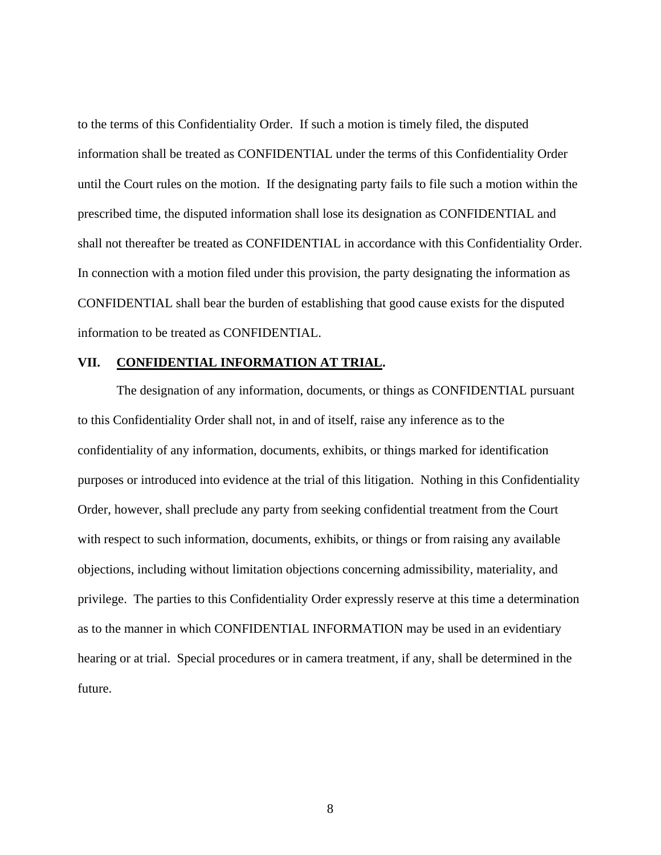to the terms of this Confidentiality Order. If such a motion is timely filed, the disputed information shall be treated as CONFIDENTIAL under the terms of this Confidentiality Order until the Court rules on the motion. If the designating party fails to file such a motion within the prescribed time, the disputed information shall lose its designation as CONFIDENTIAL and shall not thereafter be treated as CONFIDENTIAL in accordance with this Confidentiality Order. In connection with a motion filed under this provision, the party designating the information as CONFIDENTIAL shall bear the burden of establishing that good cause exists for the disputed information to be treated as CONFIDENTIAL.

### **VII. CONFIDENTIAL INFORMATION AT TRIAL.**

The designation of any information, documents, or things as CONFIDENTIAL pursuant to this Confidentiality Order shall not, in and of itself, raise any inference as to the confidentiality of any information, documents, exhibits, or things marked for identification purposes or introduced into evidence at the trial of this litigation. Nothing in this Confidentiality Order, however, shall preclude any party from seeking confidential treatment from the Court with respect to such information, documents, exhibits, or things or from raising any available objections, including without limitation objections concerning admissibility, materiality, and privilege. The parties to this Confidentiality Order expressly reserve at this time a determination as to the manner in which CONFIDENTIAL INFORMATION may be used in an evidentiary hearing or at trial. Special procedures or in camera treatment, if any, shall be determined in the future.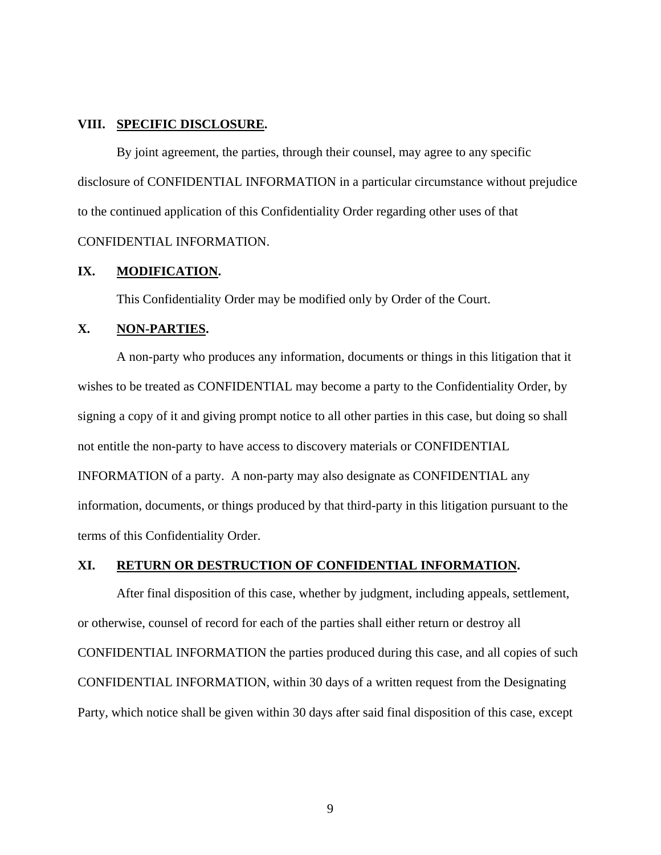### **VIII. SPECIFIC DISCLOSURE.**

By joint agreement, the parties, through their counsel, may agree to any specific disclosure of CONFIDENTIAL INFORMATION in a particular circumstance without prejudice to the continued application of this Confidentiality Order regarding other uses of that CONFIDENTIAL INFORMATION.

### **IX. MODIFICATION.**

This Confidentiality Order may be modified only by Order of the Court.

### **X. NON-PARTIES.**

A non-party who produces any information, documents or things in this litigation that it wishes to be treated as CONFIDENTIAL may become a party to the Confidentiality Order, by signing a copy of it and giving prompt notice to all other parties in this case, but doing so shall not entitle the non-party to have access to discovery materials or CONFIDENTIAL INFORMATION of a party. A non-party may also designate as CONFIDENTIAL any information, documents, or things produced by that third-party in this litigation pursuant to the terms of this Confidentiality Order.

### **XI. RETURN OR DESTRUCTION OF CONFIDENTIAL INFORMATION.**

After final disposition of this case, whether by judgment, including appeals, settlement, or otherwise, counsel of record for each of the parties shall either return or destroy all CONFIDENTIAL INFORMATION the parties produced during this case, and all copies of such CONFIDENTIAL INFORMATION, within 30 days of a written request from the Designating Party, which notice shall be given within 30 days after said final disposition of this case, except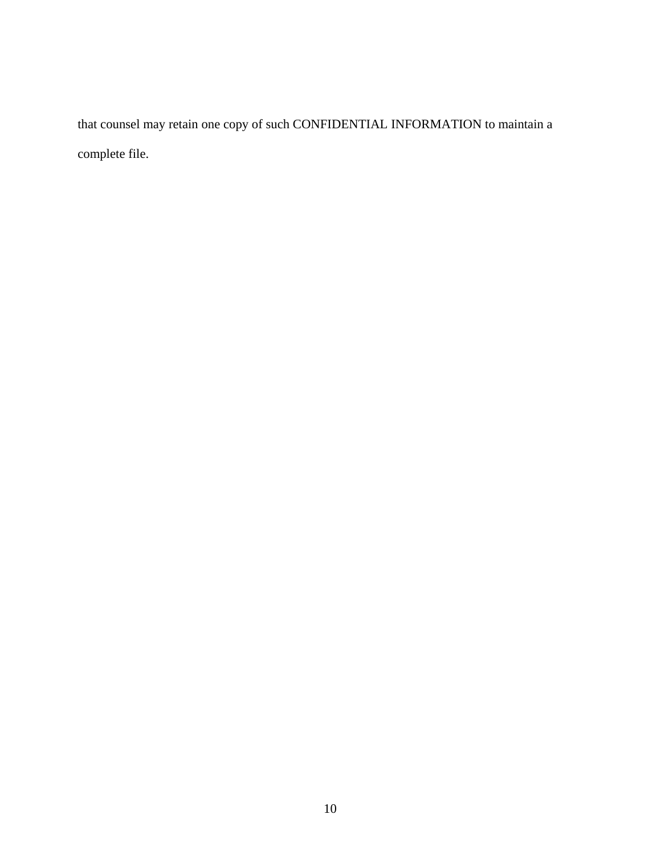that counsel may retain one copy of such CONFIDENTIAL INFORMATION to maintain a complete file.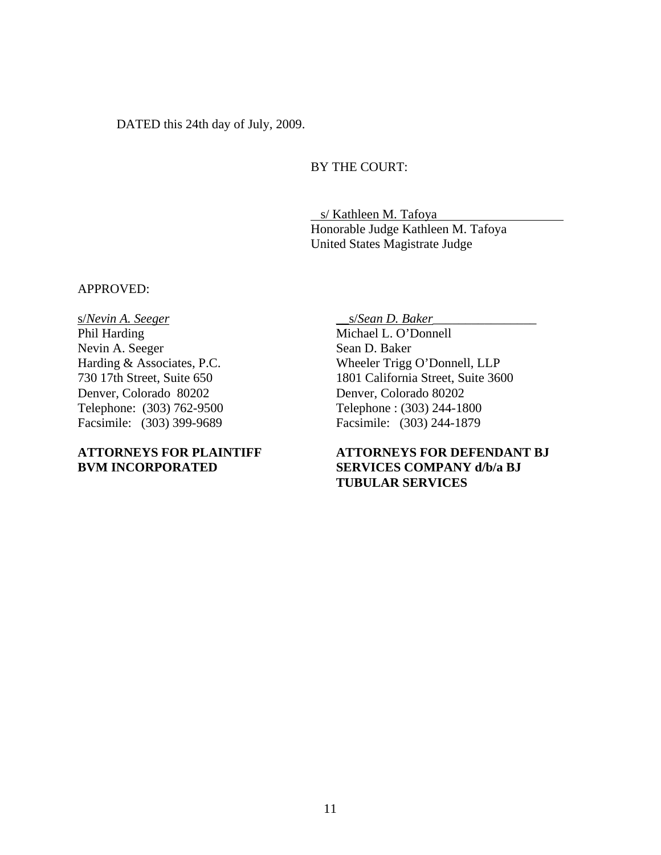DATED this 24th day of July, 2009.

## BY THE COURT:

 s/ Kathleen M. Tafoya Honorable Judge Kathleen M. Tafoya United States Magistrate Judge

#### APPROVED:

s/*Nevin A. Seeger*  Phil Harding Nevin A. Seeger Harding & Associates, P.C. 730 17th Street, Suite 650 Denver, Colorado 80202 Telephone: (303) 762-9500 Facsimile: (303) 399-9689

## **ATTORNEYS FOR PLAINTIFF BVM INCORPORATED**

\_\_s/*Sean D. Baker*\_\_\_\_\_\_\_\_\_\_\_\_\_\_\_\_

Michael L. O'Donnell Sean D. Baker Wheeler Trigg O'Donnell, LLP 1801 California Street, Suite 3600 Denver, Colorado 80202 Telephone : (303) 244-1800 Facsimile: (303) 244-1879

# **ATTORNEYS FOR DEFENDANT BJ SERVICES COMPANY d/b/a BJ TUBULAR SERVICES**